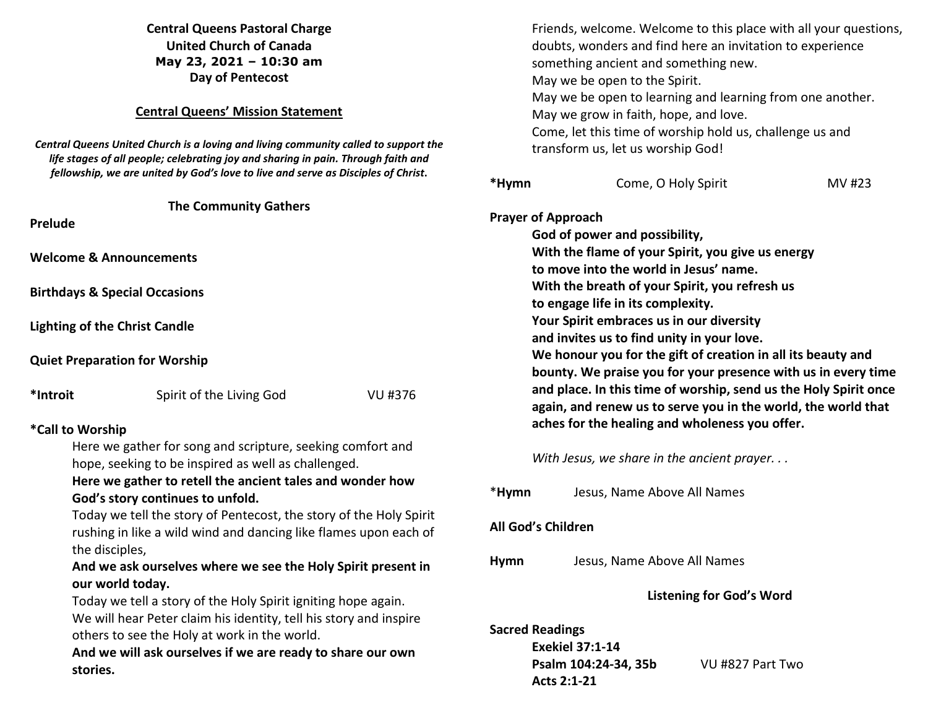# **Central Queens Pastoral Charge United Church of Canada May 23, 2021 – 10:30 am Day of Pentecost**

## **Central Queens' Mission Statement**

*Central Queens United Church is a loving and living community called to support the life stages of all people; celebrating joy and sharing in pain. Through faith and fellowship, we are united by God's love to live and serve as Disciples of Christ***.** 

| <b>The Community Gathers</b><br>Prelude<br><b>Welcome &amp; Announcements</b>                                                                                                                                                                                                    |                                                                                |                                                           | <b>Prayer of Approach</b><br>God of power and possibility,<br>With the flame of your Spirit, you give us energy<br>to move into the world in Jesus' name.                   |                                                |                                                                  |                                          |                  |  |                                   |                                                |  |  |
|----------------------------------------------------------------------------------------------------------------------------------------------------------------------------------------------------------------------------------------------------------------------------------|--------------------------------------------------------------------------------|-----------------------------------------------------------|-----------------------------------------------------------------------------------------------------------------------------------------------------------------------------|------------------------------------------------|------------------------------------------------------------------|------------------------------------------|------------------|--|-----------------------------------|------------------------------------------------|--|--|
|                                                                                                                                                                                                                                                                                  |                                                                                |                                                           |                                                                                                                                                                             |                                                |                                                                  |                                          |                  |  |                                   |                                                |  |  |
|                                                                                                                                                                                                                                                                                  |                                                                                |                                                           |                                                                                                                                                                             |                                                |                                                                  | <b>Birthdays &amp; Special Occasions</b> |                  |  |                                   | With the breath of your Spirit, you refresh us |  |  |
|                                                                                                                                                                                                                                                                                  |                                                                                |                                                           |                                                                                                                                                                             |                                                |                                                                  |                                          |                  |  | to engage life in its complexity. |                                                |  |  |
|                                                                                                                                                                                                                                                                                  |                                                                                |                                                           |                                                                                                                                                                             | Your Spirit embraces us in our diversity       |                                                                  |                                          |                  |  |                                   |                                                |  |  |
| <b>Lighting of the Christ Candle</b>                                                                                                                                                                                                                                             |                                                                                |                                                           | and invites us to find unity in your love.<br>We honour you for the gift of creation in all its beauty and<br>bounty. We praise you for your presence with us in every time |                                                |                                                                  |                                          |                  |  |                                   |                                                |  |  |
| <b>Quiet Preparation for Worship</b>                                                                                                                                                                                                                                             |                                                                                |                                                           |                                                                                                                                                                             |                                                |                                                                  |                                          |                  |  |                                   |                                                |  |  |
| *Introit                                                                                                                                                                                                                                                                         | Spirit of the Living God                                                       | <b>VU#376</b>                                             |                                                                                                                                                                             |                                                | and place. In this time of worship, send us the Holy Spirit once |                                          |                  |  |                                   |                                                |  |  |
|                                                                                                                                                                                                                                                                                  |                                                                                |                                                           |                                                                                                                                                                             |                                                | again, and renew us to serve you in the world, the world that    |                                          |                  |  |                                   |                                                |  |  |
| *Call to Worship                                                                                                                                                                                                                                                                 |                                                                                |                                                           |                                                                                                                                                                             | aches for the healing and wholeness you offer. |                                                                  |                                          |                  |  |                                   |                                                |  |  |
|                                                                                                                                                                                                                                                                                  | Here we gather for song and scripture, seeking comfort and                     |                                                           |                                                                                                                                                                             |                                                |                                                                  |                                          |                  |  |                                   |                                                |  |  |
|                                                                                                                                                                                                                                                                                  | hope, seeking to be inspired as well as challenged.                            |                                                           |                                                                                                                                                                             | With Jesus, we share in the ancient prayer     |                                                                  |                                          |                  |  |                                   |                                                |  |  |
| Here we gather to retell the ancient tales and wonder how                                                                                                                                                                                                                        |                                                                                |                                                           |                                                                                                                                                                             |                                                |                                                                  |                                          |                  |  |                                   |                                                |  |  |
| God's story continues to unfold.                                                                                                                                                                                                                                                 |                                                                                | *Hymn                                                     | Jesus, Name Above All Names                                                                                                                                                 |                                                |                                                                  |                                          |                  |  |                                   |                                                |  |  |
|                                                                                                                                                                                                                                                                                  | Today we tell the story of Pentecost, the story of the Holy Spirit             |                                                           |                                                                                                                                                                             |                                                |                                                                  |                                          |                  |  |                                   |                                                |  |  |
|                                                                                                                                                                                                                                                                                  | rushing in like a wild wind and dancing like flames upon each of               |                                                           |                                                                                                                                                                             | All God's Children                             |                                                                  |                                          |                  |  |                                   |                                                |  |  |
|                                                                                                                                                                                                                                                                                  | the disciples,<br>And we ask ourselves where we see the Holy Spirit present in |                                                           |                                                                                                                                                                             |                                                |                                                                  |                                          |                  |  |                                   |                                                |  |  |
|                                                                                                                                                                                                                                                                                  |                                                                                |                                                           | Hymn                                                                                                                                                                        | Jesus, Name Above All Names                    |                                                                  |                                          |                  |  |                                   |                                                |  |  |
| our world today.<br>Today we tell a story of the Holy Spirit igniting hope again.<br>We will hear Peter claim his identity, tell his story and inspire<br>others to see the Holy at work in the world.<br>And we will ask ourselves if we are ready to share our own<br>stories. |                                                                                |                                                           |                                                                                                                                                                             |                                                |                                                                  |                                          |                  |  |                                   |                                                |  |  |
|                                                                                                                                                                                                                                                                                  |                                                                                | <b>Listening for God's Word</b><br><b>Sacred Readings</b> |                                                                                                                                                                             |                                                |                                                                  |                                          |                  |  |                                   |                                                |  |  |
|                                                                                                                                                                                                                                                                                  |                                                                                |                                                           |                                                                                                                                                                             |                                                | <b>Exekiel 37:1-14</b>                                           |                                          |                  |  |                                   |                                                |  |  |
|                                                                                                                                                                                                                                                                                  |                                                                                |                                                           |                                                                                                                                                                             |                                                |                                                                  | Psalm 104:24-34, 35b                     | VU #827 Part Two |  |                                   |                                                |  |  |
|                                                                                                                                                                                                                                                                                  |                                                                                |                                                           | Acts 2:1-21                                                                                                                                                                 |                                                |                                                                  |                                          |                  |  |                                   |                                                |  |  |

Friends, welcome. Welcome to this place with all your questions,

doubts, wonders and find here an invitation to experience

May we be open to learning and learning from one another.

Come, let this time of worship hold us, challenge us and

\*Hymn **Come, O Holy Spirit** MV #23

something ancient and something new.

May we grow in faith, hope, and love.

transform us, let us worship God!

May we be open to the Spirit.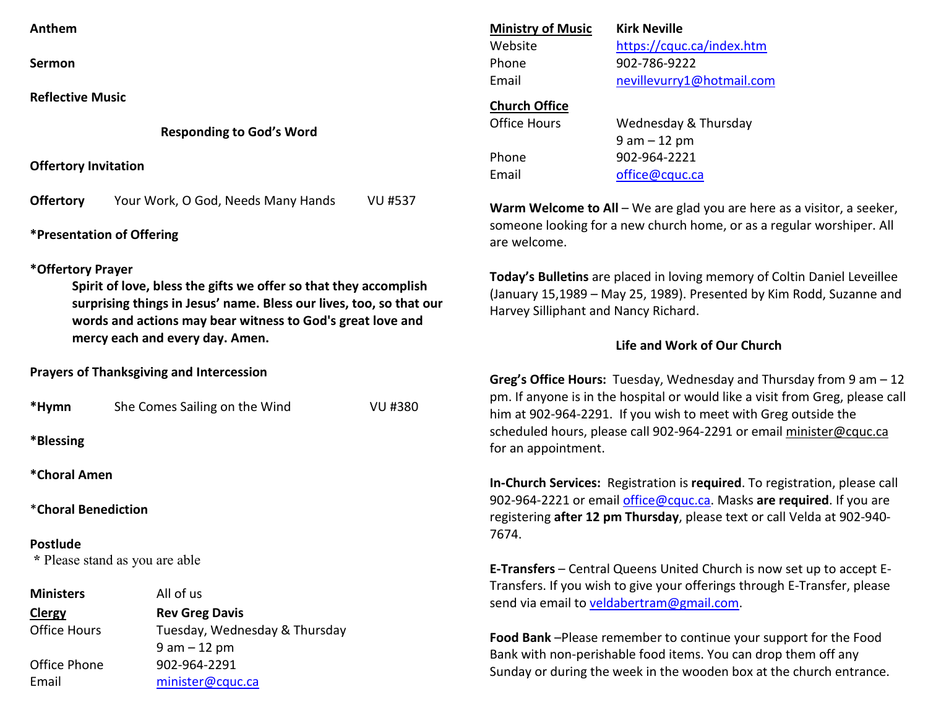| Anthem |  |
|--------|--|
|--------|--|

**Sermon** 

**Reflective Music** 

**Responding to God's Word** 

**Offertory Invitation** 

**Offertory** Your Work, O God, Needs Many Hands VU #537

**\*Presentation of Offering** 

### **\*Offertory Prayer**

**Spirit of love, bless the gifts we offer so that they accomplish surprising things in Jesus' name. Bless our lives, too, so that our words and actions may bear witness to God's great love and mercy each and every day. Amen.** 

### **Prayers of Thanksgiving and Intercession**

| *Hymn                                      | She Comes Sailing on the Wind | VU #380 |  |  |  |  |  |
|--------------------------------------------|-------------------------------|---------|--|--|--|--|--|
| *Blessing                                  |                               |         |  |  |  |  |  |
| *Choral Amen                               |                               |         |  |  |  |  |  |
| *Choral Benediction                        |                               |         |  |  |  |  |  |
| Postlude<br>* Please stand as you are able |                               |         |  |  |  |  |  |
| <b>Ministers</b>                           | All of us                     |         |  |  |  |  |  |
| Clergy                                     | <b>Rev Greg Davis</b>         |         |  |  |  |  |  |
| Office Hours                               | Tuesday, Wednesday & Thursday |         |  |  |  |  |  |
|                                            | $9$ am $-12$ pm               |         |  |  |  |  |  |
| Office Phone                               | 902-964-2291                  |         |  |  |  |  |  |
| Email                                      | minister@cquc.ca              |         |  |  |  |  |  |
|                                            |                               |         |  |  |  |  |  |

| <b>Ministry of Music</b> | <b>Kirk Neville</b>       |
|--------------------------|---------------------------|
| Website                  | https://cquc.ca/index.htm |
| Phone                    | 902-786-9222              |
| Email                    | nevillevurry1@hotmail.com |
| <b>Church Office</b>     |                           |
| <b>Office Hours</b>      | Wednesday & Thursday      |
|                          | $9$ am $-12$ pm           |
| Phone                    | 902-964-2221              |
| Email                    | office@cquc.ca            |

**Warm Welcome to All** – We are glad you are here as a visitor, a seeker,someone looking for a new church home, or as a regular worshiper. All are welcome.

**Today's Bulletins** are placed in loving memory of Coltin Daniel Leveillee (January 15,1989 – May 25, 1989). Presented by Kim Rodd, Suzanne and Harvey Silliphant and Nancy Richard.

### **Life and Work of Our Church**

**Greg's Office Hours:** Tuesday, Wednesday and Thursday from 9 am – 12 pm. If anyone is in the hospital or would like a visit from Greg, please call him at 902-964-2291. If you wish to meet with Greg outside the scheduled hours, please call 902-964-2291 or email minister@cquc.ca for an appointment.

**In-Church Services:** Registration is **required**. To registration, please call 902-964-2221 or email office@cquc.ca. Masks **are required**. If you are registering **after 12 pm Thursday**, please text or call Velda at 902-940- 7674.

**E-Transfers** – Central Queens United Church is now set up to accept E-Transfers. If you wish to give your offerings through E-Transfer, please send via email to veldabertram@gmail.com.

**Food Bank** –Please remember to continue your support for the Food Bank with non-perishable food items. You can drop them off any Sunday or during the week in the wooden box at the church entrance.